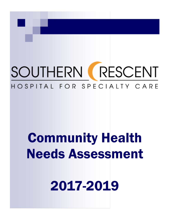# SOUTHERN RESCENT HOSPITAL FOR SPECIALTY CARE

# **Community Health Needs Assessment**

2017-2019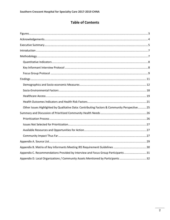# **Table of Contents**

| Other Issues Highlighted by Qualitative Data: Contributing Factors & Community Perspective 25 |
|-----------------------------------------------------------------------------------------------|
|                                                                                               |
|                                                                                               |
|                                                                                               |
|                                                                                               |
|                                                                                               |
|                                                                                               |
|                                                                                               |
| Appendix C. Recommendations Provided by Interview and Focus Group Participants31              |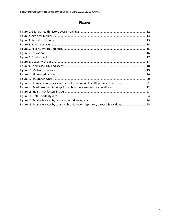# **Figures**

<span id="page-2-0"></span>

| Figure 13. Primary care physicians, dentists, and mental health providers per capita21  |  |
|-----------------------------------------------------------------------------------------|--|
|                                                                                         |  |
|                                                                                         |  |
|                                                                                         |  |
|                                                                                         |  |
| Figure 18. Mortality rates by cause - chronic lower respiratory disease & accidents  25 |  |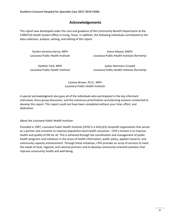# **Acknowledgements**

This report was developed under the care and guidance of the Community Benefit Department at the CHRISTUS Health System Office in Irving, Texas. In addition, the following individuals contributed to the data collection, analysis, writing, and editing of this report.

Sandra Veronica Serna, MPH Louisiana Public Health Institute

Karen Mason, MSPH Louisiana Public Health Institute (formerly)

Heather Farb, MPH Louisiana Public Health Institute

Jackie Hammers-Crowell Louisiana Public Health Institute (formerly)

Lisanne Brown, Ph.D., MPH Louisiana Public Health Institute

A special acknowledgment also goes all of the individuals who participated in the key informant interviews, focus group discussion, and the numerous prioritization and planning sessions conducted to develop this report. This report could not have been completed without your time, effort, and dedication.

# *About the Louisiana Public Health Institute:*

Founded in 1997, Louisiana Public Health Institute (LPHI) is a 501(c)(3) nonprofit organization that serves as a partner and convener to improve population-level health outcomes. LPHI's mission is to improve health and quality of life for all. This is achieved through the coordination and management of public health programs and initiatives in the areas of health information, public policy, applied research, and community capacity enhancement. Through these initiatives, LPHI provides an array of services to meet the needs of local, regional, and national partners and to develop community-oriented solutions that improve community health and well-being.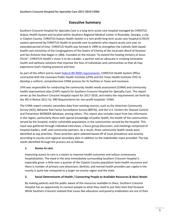# **Executive Summary**

Southern Crescent Hospital for Specialty Care is a long term acute care hospital managed by CHRISTUS Dubuis Health System and located within Southern Regional Medical Center in Riverdale, Georgia, a city in Clayton County. CHRISTUS Dubuis Health System is a non-profit long term acute care hospital (LTACH) system sponsored by CHRISTUS Health to provide care to patients who require acute care over an extended period of time. CHRISTUS Health was formed in 1999 to strengthen the Catholic faith based health care ministries of the Congregations of the Sisters of Charity of the Incarnate Word of Houston and San Antonio that began in 1866. Founded on the mission "to extend the healing ministry of Jesus Christ", CHRISTUS Health's vision is to be a leader, a partner and an advocate in creating innovative health and wellness solutions that improve the lives of individuals and communities so that all may experience God's healing presence and love.

As part of this effort and to meet [federal IRS 990H requirements,](https://www.irs.gov/uac/About-Schedule-H-Form-990) CHRISTUS Health System Office contracted with the Louisiana Public Health Institute (LPHI) and the Texas Health Institute (THI) to develop a uniform, comprehensive CHNA process for its facilities in Texas and Louisiana.

LPHI was responsible for conducting the community health needs assessment (CHNA) and community health improvement plan (CHIP) reports for Southern Crescent Hospital for Specialty Care. This report serves as the Southern Crescent Hospital report for 2017-2019, and meets the requirements set forth by the IRS in Notice 2011-52, 990 Requirements for non-profit hospitals' CHNA.

The CHNA report contains secondary data from existing sources, such as the American Community Survey (ACS), Behavior Risk Factor Surveillance Survey (BRFSS), and the U.S. Centers for Disease Control and Prevention WONDER database, among others. This report also includes input from key informants in the region, particularly those with special knowledge of public health, the health of the communities served by the hospital, and/or vulnerable populations in the communities served by the hospital. This input was gathered through individual interviews, a focus group discussion, and meetings comprised of hospital leaders, staff, and community partners. As a result, three community health needs were identified as top priorities. These priorities were selected based off of issue prevalence and severity according to county and regional secondary data in addition to the stakeholder input provided. The top needs identified through the process are as follows:

# **1. Access to care**

Improving access to care is a means to improve health outcomes and reduce unnecessary hospitalization. The need in the area immediately surrounding Southern Crescent Hospital is especially great: a little over a quarter of the Clayton County population lacks health insurance and there is number of primary care physicians, dentists, and mental health providers per capita in the county is quite low compared to a larger six-county region and the state.

# **2. Social Determinants of Health / Connecting People to Available Resources & Basic Needs**

By making patients and the public aware of the resources available to them, Southern Crescent Hospital has an opportunity to connect people to what they need to put their best foot forward. While Southern Crescent realized that issues like education and poverty eradication are out of their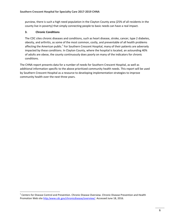purview, there is such a high need population in the Clayton County area (25% of all residents in the county live in poverty) that simply connecting people to basic needs can have a real impact.

# **3. Chronic Conditions**

l

The CDC cites chronic diseases and conditions, such as heart disease, stroke, cancer, type 2 diabetes, obesity, and arthritis, as some of the most common, costly, and preventable of all health problems affecting the American public.<sup>1</sup> For Southern Crescent Hospital, many of their patients are adversely impacted by these conditions. In Clayton County, where the hospital is located, an astounding 40% of adults are obese, the county continuously does poorly on many of the indicators for chronic conditions.

The CHNA report presents data for a number of needs for Southern Crescent Hospital, as well as additional information specific to the above prioritized community health needs. This report will be used by Southern Crescent Hospital as a resource to developing implementation strategies to improve community health over the next three years.

 $1$  Centers for Disease Control and Prevention. Chronic Disease Overview. Chronic Disease Prevention and Health Promotion Web site [http:/www.cdc.gov/chronicdisease/overview/.](http://www.cdc.gov/chronicdisease/overview/) Accessed June 18, 2016.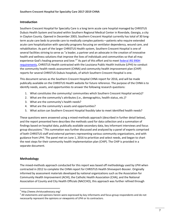# **Introduction**

Southern Crescent Hospital for Specialty Care is a long term acute care hospital managed by CHRISTUS Dubuis Health System and located within Southern Regional Medical Center in Riverdale, Georgia, a city in Clayton County. Opened in December 2003, Southern Crescent Hospital currently has total of 30 longterm acute care beds to provide care to medically complex patients—patients who require extended acute care hospitalization with specialty programs focusing on ventilator dependency, wound care, and rehabilitation. As part of the larger CHRISTUS Health system, Southern Crescent Hospital is one of several facilities striving to serve as "a leader, a partner and an advocate in the creation of innovative health and wellness solutions that improve the lives of individuals and communities so that all may experience God's healing presence and love."<sup>2</sup> As part of this effort and to meet federal IRS 990H [requirements,](https://www.irs.gov/uac/About-Schedule-H-Form-990) CHRISTUS Health contracted with the Louisiana Public Health Institute (LPHI) to conduct the community health needs assessment (CHNA) and community health improvement plan (CHIP) reports for several CHRISTUS Dubuis hospitals, of which Southern Crescent Hospital is one.

This document serves as the Southern Crescent Hospital CHNA report for 2016, and will be made publically available on the CHRISTUS Health website for future reference. The purpose of the CHNA is to identify needs, assets, and opportunities to answer the following research questions:

- 1. What constitutes the community/ communities which Southern Crescent Hospital serve(s)?
- 2. What are the community's attributes (i.e., demographics, health status, etc.)?
- 3. What are the community's health needs?
- 4. What are the community's assets and opportunities?
- 5. What action can Southern Crescent Hospital feasibly take to meet identified health needs?

These questions were answered using a mixed-methods approach (described in further detail below), and the report presented here describes the methods used for data collection and a summation of findings based on hospital data, publically available secondary data, key informant interviews and focus group discussions.<sup>3</sup> This summation was further discussed and analyzed by a panel of experts comprised of both CHRISTUS staff and external partners representing various community organizations, and with guidance from LPHI. The panel met on June 1, 2016 to prioritize and select needs, and began to chart the next steps for their community health implementation plan (CHIP). The CHIP is provided in a separate document.

# **Methodology**

 $\overline{\phantom{a}}$ 

The mixed-methods approach conducted for this report was based off methodology used by LPHI when contracted in 2012 to complete the CHNA report for CHRISTUS Health Shreveport-Bossier. Originally informed by assessment materials developed by national organizations such as the Association for Community Health Improvement (ACHI), the Catholic Health Association (CHA), and the National Association of County and City Health Officials (NACCHO), this approach was further refined through

<sup>&</sup>lt;sup>2</sup> http://www.christusadvocacy.org/

 $3$  All statements and opinions herein were expressed by key informants and focus group respondents and do not necessarily represent the opinions or viewpoints of LPHI or its contractors.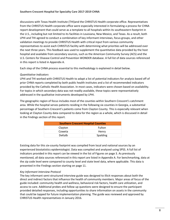discussions with Texas Health Institute (THI)and the CHRISTUS Health corporate office. Representatives from the CHRISTUS Health corporate office were especially interested in formulating a process for CHNA report development that could serve as a template to all hospitals within its southeastern footprint in the U.S., including but not limited to its facilities in Louisiana, New Mexico, and Texas. As a result, both LPHI and THI agreed to conduct a combination of key informant interviews, focus groups, and other validation meetings to provide CHRISTUS Health with critical input from various community representatives to assist each CHRISTUS facility with determining what priorities will be addressed over the next three years. This feedback was used to supplement the quantitative data provided by the host hospital and available from secondary sources, such as the American Community Survey (ACS) and the U.S. Centers for Disease Control and Prevention WONDER database. A full list of data sources referenced in this report is listed in Appendix A.

Each step of the CHNA process essential to this methodology is explained in detail below.

#### *Quantitative Indicators*

LPHI and THI worked with CHRISTUS Health to adapt a list of potential indicators for analysis based off of prior CHNA reports completed by both public health institutes and a list of recommended indicators provided by the Catholic Health Association. In most cases, indicators were chosen based on availability. For topics in which secondary data was not readily available, these topics were representatively addressed in the qualitative instruments developed by LPHI.

The geographic region of focus includes most of the counties within Southern Crescent's catchment area. While the hospital serves patients residing in the following six counties in Georgia, a substantial percentage of Southern Crescent's patients come from Clayton County. This is especially relevant when looking at Clayton County data compared to data for the region as a whole, which is discussed in detail in the Findings section of this report.

| <b>Southern Crescent Hospital Counties</b> |          |  |
|--------------------------------------------|----------|--|
| Clayton                                    | Fulton   |  |
| Coweta                                     | Henry    |  |
| <b>DeKalb</b>                              | Spalding |  |

Existing data for this six-county footprint was compiled from local and national sources by an experienced biostatistics epidemiologist. Data was compiled and analyzed using SPSS. A full list of indicators provided in this report can be viewed in the list of Figures on page 3. As previously mentioned, all data sources referenced in this report are listed in Appendix A. For benchmarking, data at the zip code level were compared to county level and state level data, where applicable. This data is presented in the Findings section starting on page 11.

#### *Key Informant Interview Protocol*

The key informant semi-structured interview guide was designed to illicit responses about both the direct and indirect factors that influence the health of community members. Major areas of focus of the guide included: community health and wellness, behavioral risk factors, health care utilization, and access to care. Additional probes and follow up questions were designed to ensure the participant provided detailed responses, including opportunities to share information on assets in the community that could be tapped for future implementation planning. The guide was reviewed and approved by CHRISTUS Health representatives in January 2016.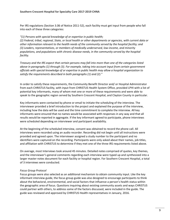Per IRS regulations (Section 3.06 of Notice 2011-52), each facility must get input from people who fall into each of these three categories:

#### *"(1) Persons with special knowledge of or expertise in public health;*

*(2) Federal, tribal, regional, State, or local health or other departments or agencies, with current data or other information relevant to the health needs of the community served by the hospital facility; and (3) Leaders, representatives, or members of medically underserved, low-income, and minority populations, and populations with chronic disease needs, in the community served by the hospital facility.* 

*Treasury and the IRS expect that certain persons may fall into more than one of the categories listed above in paragraphs (1) through (3). For example, taking into account input from certain government officials with special knowledge of or expertise in public health may allow a hospital organization to satisfy the requirements described in both paragraphs (1) and (2)."* 

In order to satisfy these requirements, the Community Benefit Director and/ or Hospital Administrator from each CHRISTUS facility, with input from CHRISTUS Health System Office, provided LPHI with a list of potential key informants, many of whom met one or more of these requirements and were able to speak to the geographic region served by Southern Crescent Hospital, and Clayton County in particular.

Key informants were contacted by phone or email to initiate the scheduling of the interview. The interviewer provided a brief introduction to the project and explained the purpose of the interview, including how the data will be used and the time commitment to complete the interview. All key informants were ensured that no names would be associated with responses in any way and that all results would be reported in aggregate. If the key informant agreed to participate, phone interviews were scheduled depending on interviewer and participant availability.

At the beginning of the scheduled interview, consent was obtained to record the phone call. All interviews were recorded using an audio recorder. Recording did not begin until all instructions were provided and agreed upon. The interviewer assigned a study number to the participant and no identifiers were captured on the recording. Participants were only asked about their names, job titles, and affiliation with CHRISTUS to determine if they met one of the three IRS requirements listed above.

On average, most Interviews took around 45 minutes. Detailed notes comprised of quotes, key themes, and the interviewer's general comments regarding each interview were typed up and synthesized into a larger master notes document for each facility or hospital region. For Southern Crescent Hospital, a total of 3 interviews were conducted.

# *Focus Group Protocol*

Focus groups were also selected as an additional mechanism to obtain community input. Like the key informant interview guide, the focus group guide was also designed to encourage participants to think about the behavioral, environmental, and social factors that influence a person's health status within the geographic area of focus. Questions inquiring about existing community assets and ways CHRISTUS could partner with others, to address some of the factors discussed, were included in the guide. The guide was reviewed and approved by CHRISTUS Health representatives in January, 2016.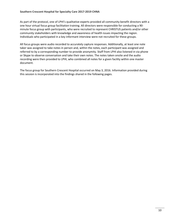As part of the protocol, one of LPHI's qualitative experts provided all community benefit directors with a one hour virtual focus group facilitation training. All directors were responsible for conducting a 90 minute focus group with participants, who were recruited to represent CHRISTUS patients and/or other community stakeholders with knowledge and awareness of health issues impacting the region. Individuals who participated in a key informant interview were not recruited for these groups.

All focus groups were audio recorded to accurately capture responses. Additionally, at least one note taker was assigned to take notes in person and, within the notes, each participant was assigned and referred to by a corresponding number to provide anonymity. Staff from LPHI also listened in via phone or Skype to observe conversation and take their own notes. The notes taken onsite and the audio recording were then provided to LPHI, who combined all notes for a given facility within one master document.

The focus group for Southern Crescent Hospital occurred on May 3, 2016. Information provided during this session is incorporated into the findings shared in the following pages.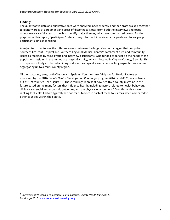### **Findings**

l

The quantitative data and qualitative data were analyzed independently and then cross-walked together to identify areas of agreement and areas of disconnect. Notes from both the interviews and focus groups were carefully read through to identify major themes, which are summarized below. For the purposes of this report, "participant" refers to key informant interview participants and focus group participants, unless specified.

A major item of note was the difference seen between the larger six-county region that comprises Southern Crescent Hospital and Southern Regional Medical Center's catchment area and community issues as reported by focus group and interview participants, who tended to reflect on the needs of the populations residing in the immediate hospital vicinity, which is located in Clayton County, Georgia. This discrepancy is likely attributed a hiding of disparities typically seen at a smaller geographic area when aggregating up to a multi-county region.

Of the six-county area, both Clayton and Spalding Counties rank fairly low for Health Factors as measured by the 2016 *County Health Rankings and Roadmaps* program (#148 and #129, respectively, out of 159 counties—see Figure 1). These rankings represent how healthy a county might be in the future based on the many factors that influence health, including factors related to health behaviors, clinical care, social and economic outcomes, and the physical environment. 4 Counties with a lower ranking for Health Factors typically see poorer outcomes in each of these four areas when compared to other counties within their state.

<sup>4</sup> University of Wisconsin Population Health Institute. *County Health Rankings & Roadmaps* 2016. [www.countyhealthrankings.org.](http://www.countyhealthrankings.org/)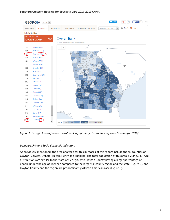

*Figure 1: Georgia health factors overall rankings (County Health Rankings and Roadmaps, 2016)*

#### *Demographic and Socio-Economic Indicators*

As previously mentioned, the area analyzed for this purposes of this report include the six counties of Clayton, Coweta, DeKalb, Fulton, Henry and Spalding. The total population of this area is 2,342,940. Age distributions are similar to the state of Georgia, with Clayton County having a larger percentage of people under the age of 18 when compared to the larger six-county region and the state (Figure 2), and Clayton County and the region are predominantly African American race (Figure 3).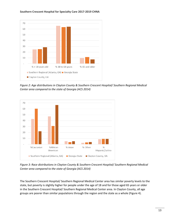

*Figure 2: Age distributions in Clayton County & Southern Crescent Hospital/ Southern Regional Medical Center area compared to the state of Georgia (ACS 2014)*



*Figure 3: Race distributions in Clayton County & Southern Crescent Hospital/ Southern Regional Medical Center area compared to the state of Georgia (ACS 2014)*

The Southern Crescent Hospital/ Southern Regional Medical Center area has similar poverty levels to the state, but poverty is slightly higher for people under the age of 18 and for those aged 65 years or older in the Southern Crescent Hospital/ Southern Regional Medical Center area. In Clayton County, all age groups are poorer than similar populations through the region and the state as a whole (Figure 4).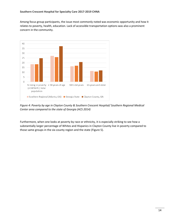Among focus group participants, the issue most commonly noted was economic opportunity and how it relates to poverty, health, education. Lack of accessible transportation options was also a prominent concern in the community.



*Figure 4: Poverty by age in Clayton County & Southern Crescent Hospital/ Southern Regional Medical Center area compared to the state of Georgia (ACS 2014)*

Furthermore, when one looks at poverty by race or ethnicity, it is especially striking to see how a substantially larger percentage of Whites and Hispanics in Clayton County live in poverty compared to those same groups in the six-county region and the state (Figure 5).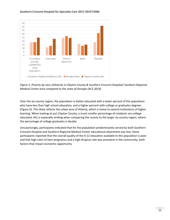

*Figure 5: Poverty by race /ethnicity in Clayton County & Southern Crescent Hospital/ Southern Regional Medical Center area compared to the state of Georgia (ACS 2014)*

Over the six-county region, the population is better educated with a lower percent of the population who have less than high school education, and a higher percent with college or graduates degrees (Figure 6). This likely reflects the urban area of Atlanta, which is home to several institutions of higher learning. When looking at just Clayton County, a much smaller percentage of residents are collegeeducated; this is especially striking when comparing the county to the larger six-county region, where the percentage of college graduates is double.

Unsurprisingly, participants indicated that for the population predominantly served by both Southern Crescent Hospital and Southern Regional Medical Center educational attainment was low. Some participants reported that the overall quality of the K-12 education available to this population is poor and that high rates of teen pregnancy and a high dropout rate was prevalent in the community, both factors that impact economic opportunity.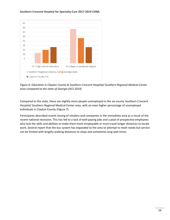

*Figure 6: Education in Clayton County & Southern Crescent Hospital/ Southern Regional Medical Center area compared to the state of Georgia (ACS 2014)*

Compared to the state, there are slightly more people unemployed in the six-county Southern Crescent Hospital/ Southern Regional Medical Center area, with an even higher percentage of unemployed individuals in Clayton County (Figure 7).

Participants described recent closing of retailers and companies in the immediate area as a result of the recent national recession. This has led to a lack of well-paying jobs and a pool of prospective employees who lack the skills and abilities to make them more employable or must travel longer distances to locate work. Several report that the bus system has expanded to the area to attempt to meet needs but service can be limited with lengthy walking distances to stops and sometimes long wait times.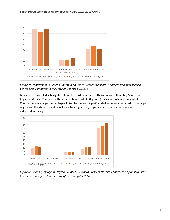

*Figure 7: Employment in Clayton County & Southern Crescent Hospital/ Southern Regional Medical Center area compared to the state of Georgia (ACS 2014)*

Measures of overall disability show less of a burden in the Southern Crescent Hospital/ Southern Regional Medical Center area than the state as a whole (Figure 8). However, when looking at Clayton County there is a larger percentage of disabled persons age 65 and older when compared to the larger region and the state. Disability includes: hearing, vision, cognitive, ambulatory, self-care and independent living.



*Figure 8: Disability by age in Clayton County & Southern Crescent Hospital/ Southern Regional Medical Center area compared to the state of Georgia (ACS 2014)*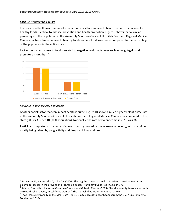# *Socio-Environmental Factors*

The social and built environment of a community facilitates access to health. In particular access to healthy foods is critical to disease prevention and health promotion. Figure 9 shows that a similar percentage of the population in the six-county Southern Crescent Hospital/ Southern Regional Medical Center area have limited access to healthy foods and are food insecure as compared to the percentage of the population in the entire state.

Lacking consistant access to food is related to negative health outcomes such as weight-gain and premature mortality.5,6



*Figure 9: Food insecurity and access<sup>7</sup>*

 $\overline{a}$ 

Another social factor that can impact health is crime. Figure 10 shows a much higher violent crime rate in the six-county Southern Crescent Hospital/ Southern Regional Medical Center area compared to the state (609 vs 385 per 100,000 population). Nationally, the rate of violent crime in 2013 was 369.

Participants reported an increase of crime occurring alongside the increase in poverty, with the crime mostly being driven by gang activity and drug trafficking and use.

<sup>&</sup>lt;sup>5</sup> Brownson RC, Haire-Joshu D, Luke DA. (2006). Shaping the context of health: A review of environmental and policy approaches in the prevention of chronic diseases. Annu Rev Public Health, 27: 341-70.

 $^6$  Adams, Elizabeth J., Laurence Grummer-Strawn, and Gilberto Chavez. (2003). "Food insecurity is associated with increased risk of obesity in California women." The Journal of nutrition, 133.4: 1070-1074.

 $^7$  Food Insecurity from 'Map the Meal Gap' – 2013. Limited access to health foods from the USDA Environmental Food Atlas (2010).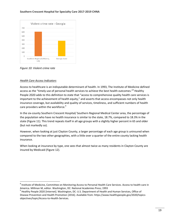

*Figure 10: Violent crime rate* 

#### *Health Care Access Indicators*

l

Access to healthcare is an indisputable determinant of health. In 1993, The Institute of Medicine defined access as the "timely use of personal health services to achieve the best health outcomes."<sup>8</sup> Healthy People 2020 adds to this definition to state that "access to comprehensive quality health care services is important to the achievement of health equity," and asserts that access encompasses not only health insurance coverage, but availability and quality of services, timeliness, and sufficient numbers of health care providers within the workforce.<sup>9</sup>

In the six-county Southern Crescent Hospital/ Southern Regional Medical Center area, the percentage of the population who have no health insurance is similar to the state, 18.7%, compared to 18.3% in the state (Figure 11). This trend repeats itself in all age groups with a slightly higher percent in 65 and older (but not markedly so).

However, when looking at just Clayton County, a larger percentage of each age group is uninsured when compared to the two other geographies, with a little over a quarter of the entire county lacking health insurance.

When looking at insurance by type, one sees that almost twice as many residents in Clayton County are insured by Medicaid (Figure 12).

<sup>&</sup>lt;sup>8</sup> Institute of Medicine, Committee on Monitoring Access to Personal Health Care Services. Access to health care in America. Millman M, editor. Washington, DC: National Academies Press; 1993

<sup>&</sup>lt;sup>9</sup> Healthy People 2020 [Internet]. Washington, DC: U.S. Department of Health and Human Services, Office of Disease Prevention and Health Promotion [2016]. Available from: https://www.healthypeople.gov/2020/topicsobjectives/topic/Access-to-Health-Services.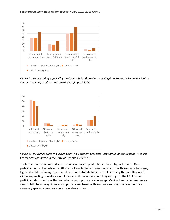

*Figure 11: Uninsured by age in Clayton County & Southern Crescent Hospital/ Southern Regional Medical Center area compared to the state of Georgia (ACS 2014)*



*Figure 12: Insurance types in Clayton County & Southern Crescent Hospital/ Southern Regional Medical Center area compared to the state of Georgia (ACS 2014)*

The burdens of the uninsured and underinsured was repeatedly mentioned by participants. One participant noted that while the Affordable Care Act has improved access to health insurance for some, high deductibles of many insurance plans also contribute to people not accessing the care they need, with many waiting to seek care until their conditions worsen until they must go to the ER. Another participant described how the limited number of providers who accept Medicaid and other insurances also contribute to delays in receiving proper care. Issues with insurance refusing to cover medically necessary specialty care procedures was also a concern.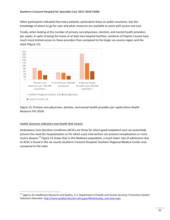Other participants indicated that many patients, particularly those on public insurance, lack the knowledge of where to go for care and what resources are available to assist with access and cost.

Finally, when looking at the number of primary care physicians, dentists, and mental health providers per capita, in spite of being the home of at least two hospital facilities, residents of Clayton County have much more limited access to these providers than compared to the larger six-county region and the state (Figure 13).



# *Figure 13: Primary care physicians, dentists, and mental health providers per capita (Area Health Resource File 2014)*

# *Health Outcome Indicators and Health Risk Factors*

l

Ambulatory Care Sensitive Conditions (ACSC) are those for which good outpatient care can potentially prevent the need for hospitalization or for which early intervention can prevent complications or more severe disease.<sup>10</sup> Figure 14 shows that in the Medicare population, a much lower rate of admissions due to ACSC is found in the six-county Southern Crescent Hospital/ Southern Regional Medical Center area compared to the state.

<sup>&</sup>lt;sup>10</sup> Agency for Healthcare Research and Quality, U.S. Department of Health and Human Services, Prevention Quality Indicators Overview. [http://www.qualityindicators.ahrq.gov/Modules/pqi\\_overview.aspx](http://www.qualityindicators.ahrq.gov/Modules/pqi_overview.aspx)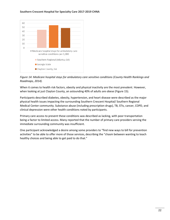

*Figure 14: Medicare hospital stays for ambulatory care sensitive conditions (County Health Rankings and Roadmaps, 2014).* 

When it comes to health risk factors, obesity and physical inactivity are the most prevalent. However, when looking at just Clayton County, an astounding 40% of adults are obese (Figure 15).

Participants described diabetes, obesity, hypertension, and heart disease were described as the major physical health issues impacting the surrounding Southern Crescent Hospital/ Southern Regional Medical Center community. Substance abuse (including prescription drugs), TB, STIs, cancer, COPD, and clinical depression were other health conditions noted by participants.

Primary care access to prevent these conditions was described as lacking, with poor transportation being a factor to limited access. Many reported that the number of primary care providers serving the immediate surrounding community was insufficient.

One participant acknowledged a desire among some providers to "find new ways to bill for prevention activities" to be able to offer more of those services, describing the "chasm between wanting to teach healthy choices and being able to get paid to do that."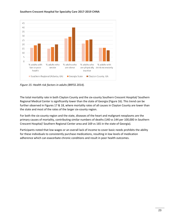

*Figure 15: Health risk factors in adults (BRFSS 2014).* 

The total mortality rate in both Clayton County and the six-county Southern Crescent Hospital/ Southern Regional Medical Center is significantly lower than the state of Georgia (Figure 16). This trend can be further observed in Figures 17 & 18, where mortality rates of all causes in Clayton County are lower than the state and most of the rates of the larger six-county region.

For both the six-county region and the state, diseases of the heart and malignant neoplasms are the primary causes of mortality, contributing similar numbers of deaths (140 vs 144 per 100,000 in Southern Crescent Hospital/ Southern Regional Center area and 169 vs 165 in the state of Georgia).

Participants noted that low wages or an overall lack of income to cover basic needs prohibits the ability for these individuals to consistently purchase medications, resulting in low levels of medication adherence which can exacerbate chronic conditions and result in poor health outcomes.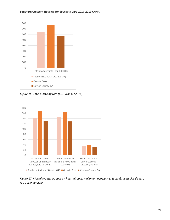# 800 700 600 500 400 300 200 100  $\mathbf 0$ Total mortality rate (per 100,000) Southern Regional (Atlanta, GA) Georgia State Clayton County, GA

#### **Southern Crescent Hospital for Specialty Care 2017-2019 CHNA**

*Figure 16: Total mortality rate (CDC Wonder 2014)*



*Figure 17: Mortality rates by cause – heart disease, malignant neoplasms, & cerebrovascular disease (CDC Wonder 2014)*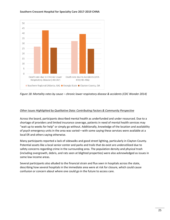

*Figure 18: Mortality rates by cause – chronic lower respiratory disease & accidents (CDC Wonder 2014)*

# *Other Issues Highlighted by Qualitative Data: Contributing Factors & Community Perspective*

Across the board, participants described mental health as underfunded and under resourced. Due to a shortage of providers and limited insurance coverage, patients in need of mental health services may "wait up to weeks for help" or simply go without. Additionally, knowledge of the location and availability of psych emergency units in the area was varied—with some saying these services were available at a local ER and others saying otherwise.

Many participants reported a lack of sidewalks and good street lighting, particularly in Clayton County. Potential assets like a local senior center and parks and trails that do exist are underutilized due to safety concerns regarding crime in the surrounding area. The population density and physical trash (including overgrowth, debris, and rats seen at blighted properties) were also acknowledged as issues in some low income areas.

Several participants also alluded to the financial strain and flux seen in hospitals across the state, describing how several hospitals in the immediate area were at risk for closure, which could cause confusion or concern about where one could go in the future to access care.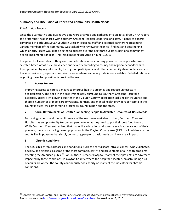# **Summary and Discussion of Prioritized Community Health Needs**

# *Prioritization Process*

Once the quantitative and qualitative data were analyzed and gathered into an initial draft CHNA report, the draft report was shared with Southern Crescent Hospital leadership and staff. A panel of experts comprised of both CHRISTUS/ Southern Crescent Hospital staff and external partners representing various members of the community was tasked with reviewing the initial findings and determining which priority issues would be selected to address over the next three years as part of a community health implementation plan. This initial meeting occurred on June 1, 2016.

The panel took a number of things into consideration when choosing priorities. Some priorities were selected based off of issue prevalence and severity according to county and regional secondary data. Input provided by key informants, focus group participants, and other community stakeholders was also heavily considered, especially for priority areas where secondary data is less available. Detailed rationale regarding these top priorities is provided below.

# **1. Access to care**

Improving access to care is a means to improve health outcomes and reduce unnecessary hospitalization. The need in the area immediately surrounding Southern Crescent Hospital is especially great: a little over a quarter of the Clayton County population lacks health insurance and there is number of primary care physicians, dentists, and mental health providers per capita in the county is quite low compared to a larger six-county region and the state.

# **2. Social Determinants of Health / Connecting People to Available Resources & Basic Needs**

By making patients and the public aware of the resources available to them, Southern Crescent Hospital has an opportunity to connect people to what they need to put their best foot forward. While Southern Crescent realized that issues like education and poverty eradication are out of their purview, there is such a high need population in the Clayton County area (25% of all residents in the county live in poverty) that simply connecting people to basic needs can have a real impact.

# **3. Chronic Conditions**

l

The CDC cites chronic diseases and conditions, such as heart disease, stroke, cancer, type 2 diabetes, obesity, and arthritis, as some of the most common, costly, and preventable of all health problems affecting the American public.<sup>11</sup> For Southern Crescent Hospital, many of their patients are adversely impacted by these conditions. In Clayton County, where the hospital is located, an astounding 40% of adults are obese, the county continuously does poorly on many of the indicators for chronic conditions.

<sup>&</sup>lt;sup>11</sup> Centers for Disease Control and Prevention. Chronic Disease Overview. Chronic Disease Prevention and Health Promotion Web site [http:/www.cdc.gov/chronicdisease/overview/.](http://www.cdc.gov/chronicdisease/overview/) Accessed June 18, 2016.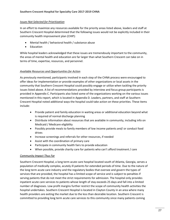# *Issues Not Selected for Prioritization*

In an effort to maximize any resources available for the priority areas listed above, leaders and staff at Southern Crescent Hospital determined that the following issues would not be explicitly included in their community health improvement plan (CHIP):

- Mental health / behavioral health / substance abuse
- Education

While hospital leaders acknowledged that these issues are tremendously important to the community, the areas of mental health and education are far larger than what Southern Crescent can take on in terms of time, expertise, resources, and personnel.

# *Available Resources and Opportunities for Action*

As previously mentioned, participants involved in each step of the CHNA process were encouraged to offer ideas for implementation or provide examples of other organizations or local assets in the community that Southern Crescent Hospital could possibly engage or utilize when tackling the priority issues listed above. A list of recommendations provided by interview and focus group participants is provided in Appendix C. Participants also listed some of the organizations working on the various issues mentioned in this report, which is located in Appendix D. Leaders, partners, and staff at Southern Crescent Hospital noted additional ways the hospital could take action on these priorities. These items include:

- Provide patient and family education in waiting areas or additional education beyond what is required of normal discharge planning
- Distribute information about resources that are available in community, including info on Medicaid / Medicare eligibility
- Possibly provide meals to family members of low income patients and/ or conduct food drives
- Increase screenings and referrals for other resources, if needed
- Assist with the coordination of primary care
- Participate in community health fairs to provide education
- When possible, provide charity care for patients who can't afford treatment / care

# *Community Impact Thus Far*

Southern Crescent Hospital, a long term acute care hospital located south of Atlanta, Georgia, serves a population of medically complex, acutely ill patients for extended periods of time. Due to the nature of the long term acute care industry and the regulatory bodies that oversee and govern the types of services that are provided, the hospital has a limited scope of service and is subject to penalties if serving patients that do not meet the strict requirements for admission. The hospital only provides inpatient acute care services to patients whose length of stay exceeds 25 days and fall into a limited number of diagnoses. Low profit margins further restrict the scope of community health activities the hospital undertakes. Southern Crescent Hospital is located in Clayton County in an area where many health providers are exiting the market due to the less than desirable location. Southern Crescent is committed to providing long term acute care services to this community since many patients coming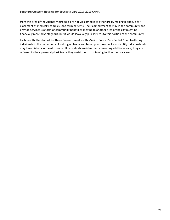from this area of the Atlanta metropolis are not welcomed into other areas, making it difficult for placement of medically complex long term patients. Their commitment to stay in the community and provide services is a form of community benefit as moving to another area of the city might be financially more advantageous, but it would leave a gap in services to this portion of the community.

Each month, the staff of Southern Crescent works with Mission Forest Park Baptist Church offering individuals in the community blood sugar checks and blood pressure checks to identify individuals who may have diabetic or heart disease. If individuals are identified as needing additional care, they are referred to their personal physician or they assist them in obtaining further medical care.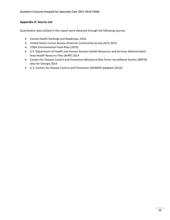# **Appendix A: Source List**

Quantitative data utilized in this report were obtained through the following sources:

- County Health Rankings and Roadmaps, 2016
- United States Census Bureau American Community Survey (ACS) 2013
- USDA Environmental Food Atlas (2010)
- U.S. Department of Health and Human Services Health Resources and Services Administration Area Health Resource Files (AHRF) 2014
- Centers for Disease Control and Prevention Behavioral Risk Factor Surveillance System (BRFSS) data for Georgia 2014
- U.S. Centers for Disease Control and Prevention WONDER database (2014)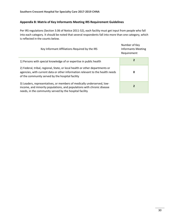# **Appendix B: Matrix of Key Informants Meeting IRS Requirement Guidelines**

Per IRS regulations (Section 3.06 of Notice 2011-52), each facility must get input from people who fall into each category. It should be noted that several respondents fall into more than one category, which is reflected in the counts below.

| Key Informant Affiliations Required by the IRS                                                                                                                                                                    | Number of Key<br>Informants Meeting<br>Requirement |
|-------------------------------------------------------------------------------------------------------------------------------------------------------------------------------------------------------------------|----------------------------------------------------|
| 1) Persons with special knowledge of or expertise in public health                                                                                                                                                |                                                    |
| 2) Federal, tribal, regional, State, or local health or other departments or<br>agencies, with current data or other information relevant to the health needs<br>of the community served by the hospital facility | 0                                                  |
| 3) Leaders, representatives, or members of medically underserved, low-<br>income, and minority populations, and populations with chronic disease<br>needs, in the community served by the hospital facility       | 2                                                  |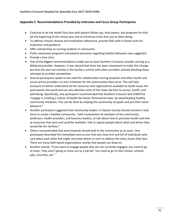# **Appendix C: Recommendations Provided by Interview and Focus Group Participants**

- Continue to do the health fairs (but with patient follow-up), food pantry, and programs for kids (at the beginning of the school year and at Christmas time) that you've been doing.
- To address chronic disease and medication adherence, provide folks with in-home visits for evaluation and guidance.
- Offer scholarships to nursing students in community
- Public awareness programs and patient education regarding healthy behaviors was suggested.
- Provide a free clinic
- One of the biggest recommendations made was to have Southern Crescent consider serving as a Medicaid provider. However, it was shared that there has been movement to make this change, but that this was not entirely in the facility's control with other providers actively blocking these attempts to prohibit competition.
- Several participants spoke to the need for collaboration among hospitals and other health and social service providers on joint initiatives for the communities they serve. This will help everyone to better understand all the resources and organizations available to tackle issues the participants discussed and can also alleviate some of the major barriers to access, health, and well-being. Specifically, one participant recommended that Southern Crescent and CHRISTUS "engage in creating a culture of health like Kaiser Permanente does, by spearheading healthy community initiatives. This can be done by helping the community set goals and put their name behind it."
- Another participant suggested that community leaders in Clayton County should convene a task force to create a healthy community, "with involvement all members of the community: politicians, health providers, and business leaders, to talk about how to promote health and look at resources that exist and could be available. Talk to regular people about what and where they would like for facilities."
- Others recommended that area hospitals should look to the community as an asset. One participant described the immediate area as one that was close knit and full of individuals who care about each other but might not know where to start to address the many issues they face. There are many faith based organizations nearby that people can draw on.
- Another shared, "If you want to engage people who are not currently engaged, you need to go to them. They aren't going to come out to a job fair. You need to go to their homes, schools, jobs, churches, etc."